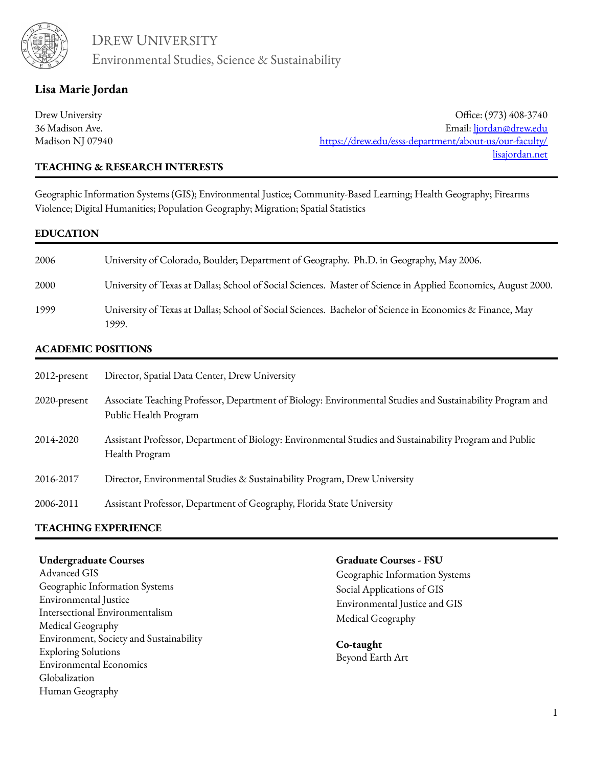

# **Lisa Marie Jordan**

Drew University 36 Madison Ave. Madison NJ 07940

Office: (973) 408-3740 Email: [ljordan@drew.edu](mailto:ljordan@drew.edu) https://drew.edu/esss-department/about-us/our-faculty/ [lisajordan.net](http://lisajordan.net/)

### **TEACHING & RESEARCH INTERESTS**

Geographic Information Systems (GIS); Environmental Justice; Community-Based Learning; Health Geography; Firearms Violence; Digital Humanities; Population Geography; Migration; Spatial Statistics

#### **EDUCATION**

| 2006 | University of Colorado, Boulder; Department of Geography. Ph.D. in Geography, May 2006.                            |
|------|--------------------------------------------------------------------------------------------------------------------|
| 2000 | University of Texas at Dallas; School of Social Sciences. Master of Science in Applied Economics, August 2000.     |
| 1999 | University of Texas at Dallas; School of Social Sciences. Bachelor of Science in Economics & Finance, May<br>1999. |

### **ACADEMIC POSITIONS**

| 2012-present | Director, Spatial Data Center, Drew University                                                                                     |
|--------------|------------------------------------------------------------------------------------------------------------------------------------|
| 2020-present | Associate Teaching Professor, Department of Biology: Environmental Studies and Sustainability Program and<br>Public Health Program |
| 2014-2020    | Assistant Professor, Department of Biology: Environmental Studies and Sustainability Program and Public<br>Health Program          |
| 2016-2017    | Director, Environmental Studies & Sustainability Program, Drew University                                                          |
| 2006-2011    | Assistant Professor, Department of Geography, Florida State University                                                             |
|              |                                                                                                                                    |

# **TEACHING EXPERIENCE**

#### **Undergraduate Courses**

Advanced GIS Geographic Information Systems Environmental Justice Intersectional Environmentalism Medical Geography Environment, Society and Sustainability Exploring Solutions Environmental Economics Globalization Human Geography

#### **Graduate Courses - FSU**

Geographic Information Systems Social Applications of GIS Environmental Justice and GIS Medical Geography

**Co-taught** Beyond Earth Art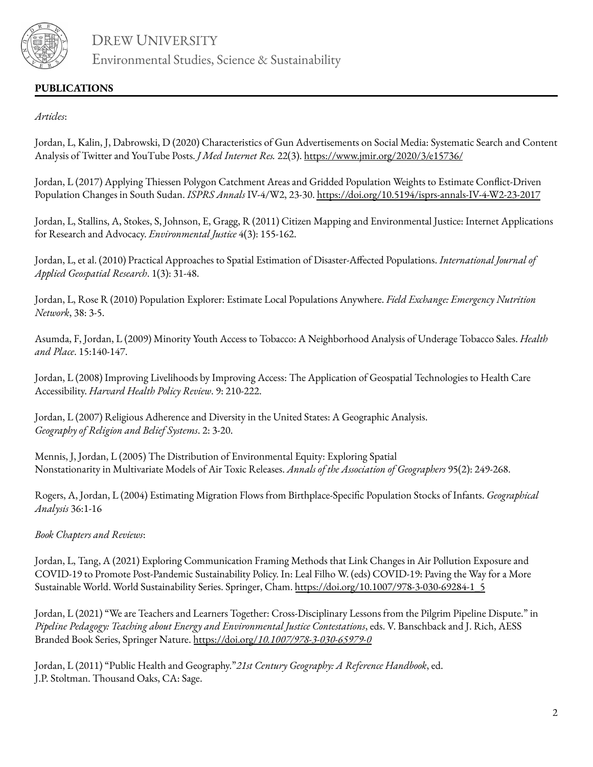

# **PUBLICATIONS**

### *Articles*:

Jordan, L, Kalin, J, Dabrowski, D (2020) Characteristics of Gun Advertisements on Social Media: Systematic Search and Content Analysis of Twitter and YouTube Posts. *J Med Internet Res.* 22(3). <https://www.jmir.org/2020/3/e15736/>

Jordan, L (2017) Applying Thiessen Polygon Catchment Areas and Gridded Population Weights to Estimate Conflict-Driven Population Changes in South Sudan. *ISPRS Annals* IV-4/W2, 23-30. <https://doi.org/10.5194/isprs-annals-IV-4-W2-23-2017>

Jordan, L, Stallins, A, Stokes, S, Johnson, E, Gragg, R (2011) Citizen Mapping and Environmental Justice: Internet Applications for Research and Advocacy. *Environmental Justice* 4(3): 155-162.

Jordan, L, et al. (2010) Practical Approaches to Spatial Estimation of Disaster‐Affected Populations. *International Journal of Applied Geospatial Research*. 1(3): 31‐48.

Jordan, L, Rose R (2010) Population Explorer: Estimate Local Populations Anywhere. *Field Exchange: Emergency Nutrition Network*, 38: 3‐5.

Asumda, F, Jordan, L (2009) Minority Youth Access to Tobacco: A Neighborhood Analysis of Underage Tobacco Sales. *Health and Place*. 15:140‐147.

Jordan, L (2008) Improving Livelihoods by Improving Access: The Application of Geospatial Technologies to Health Care Accessibility. *Harvard Health Policy Review*. 9: 210‐222.

Jordan, L (2007) Religious Adherence and Diversity in the United States: A Geographic Analysis. *Geography of Religion and Belief Systems*. 2: 3‐20.

Mennis, J, Jordan, L (2005) The Distribution of Environmental Equity: Exploring Spatial Nonstationarity in Multivariate Models of Air Toxic Releases. *Annals of the Association of Geographers* 95(2): 249-268.

Rogers, A, Jordan, L (2004) Estimating Migration Flows from Birthplace‐Specific Population Stocks of Infants. *Geographical Analysis* 36:1‐16

*Book Chapters and Reviews*:

Jordan, L, Tang, A (2021) Exploring Communication Framing Methods that Link Changes in Air Pollution Exposure and COVID-19 to Promote Post-Pandemic Sustainability Policy. In: Leal Filho W. (eds) COVID-19: Paving the Way for a More Sustainable World. World Sustainability Series. Springer, Cham. [https://doi.org/10.1007/978-3-030-69284-1\\_5](https://doi.org/10.1007/978-3-030-69284-1_5)

Jordan, L (2021) "We are Teachers and Learners Together: Cross-Disciplinary Lessons from the Pilgrim Pipeline Dispute." in *Pipeline Pedagogy: Teaching about Energy and Environmental Justice Contestations*, eds. V. Banschback and J. Rich, AESS Branded Book Series, Springer Nature. https://doi.org/*[10.1007/978-3-030-65979-0](https://doi.org/10.1007/978-3-030-65979-0)*

Jordan, L (2011) "Public Health and Geography."*21st Century Geography: A Reference Handbook*, ed. J.P. Stoltman. Thousand Oaks, CA: Sage.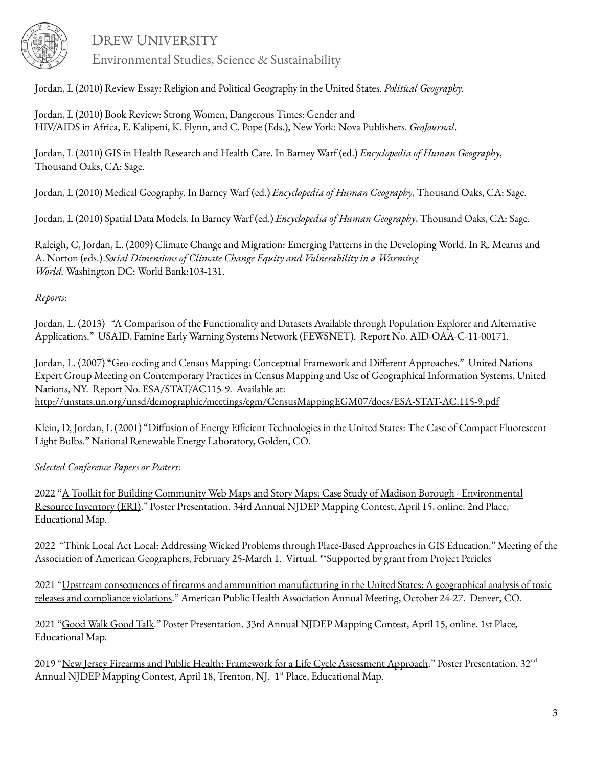

DREW UNIVERSITY

Environmental Studies, Science & Sustainability

Jordan, L (2010) Review Essay: Religion and Political Geography in the United States. *Political Geography.*

Jordan, L (2010) Book Review: Strong Women, Dangerous Times: Gender and HIV/AIDS in Africa, E. Kalipeni, K. Flynn, and C. Pope (Eds.), New York: Nova Publishers. *GeoJournal*.

Jordan, L (2010) GIS in Health Research and Health Care. In Barney Warf (ed.) *Encyclopedia of Human Geography*, Thousand Oaks, CA: Sage.

Jordan, L (2010) Medical Geography. In Barney Warf (ed.) *Encyclopedia of Human Geography*, Thousand Oaks, CA: Sage.

Jordan, L (2010) Spatial Data Models. In Barney Warf (ed.) *Encyclopedia of Human Geography*, Thousand Oaks, CA: Sage.

Raleigh, C, Jordan, L. (2009) Climate Change and Migration: Emerging Patterns in the Developing World. In R. Mearns and A. Norton (eds.) *Social Dimensions of Climate Change Equity and Vulnerability in a Warming World.* Washington DC: World Bank:103‐131.

## *Reports*:

Jordan, L. (2013) "A Comparison of the Functionality and Datasets Available through Population Explorer and Alternative Applications." USAID, Famine Early Warning Systems Network (FEWSNET). Report No. AID-OAA-C-11-00171.

Jordan, L. (2007) "Geo-coding and Census Mapping: Conceptual Framework and Different Approaches." United Nations Expert Group Meeting on Contemporary Practices in Census Mapping and Use of Geographical Information Systems, United Nations, NY. Report No. ESA/STAT/AC115-9. Available at: <http://unstats.un.org/unsd/demographic/meetings/egm/CensusMappingEGM07/docs/ESA-STAT-AC.115-9.pdf>

Klein, D, Jordan, L (2001) "Diffusion of Energy Efficient Technologies in the United States: The Case of Compact Fluorescent Light Bulbs." National Renewable Energy Laboratory, Golden, CO.

*Selected Conference Papers or Posters*:

2022 "A Toolkit for Building Community Web Maps and Story Maps: Case Study of Madison Borough - [Environmental](https://www.nj.gov/dep/gis/mapcon34.html) Resource [Inventory](https://www.nj.gov/dep/gis/mapcon34.html) (ERI)." Poster Presentation. 34rd Annual NJDEP Mapping Contest, April 15, online. 2nd Place, Educational Map.

2022 "Think Local Act Local: Addressing Wicked Problems through Place-Based Approaches in GIS Education." Meeting of the Association of American Geographers, February 25-March 1. Virtual. \*\*Supported by grant from Project Pericles

2021 "Upstream consequences of firearms and ammunition [manufacturing](https://apha.confex.com/apha/2021/meetingapp.cgi/Paper/509347) in the United States: A geographical analysis of toxic releases and [compliance](https://apha.confex.com/apha/2021/meetingapp.cgi/Paper/509347) violations." American Public Health Association Annual Meeting, October 24-27. Denver, CO.

2021 "[Good](https://www.nj.gov/dep/gis/mapcon33.html) Walk Good Talk." Poster Presentation. 33rd Annual NJDEP Mapping Contest, April 15, online. 1st Place, Educational Map.

2019 "New Jersey Firearms and Public Health: Framework for a Life Cycle [Assessment](https://www.nj.gov/dep/gis/mapcon32.html) Approach." Poster Presentation. 32<sup>nd</sup> Annual NJDEP Mapping Contest, April 18, Trenton, NJ. 1<sup>st</sup> Place, Educational Map.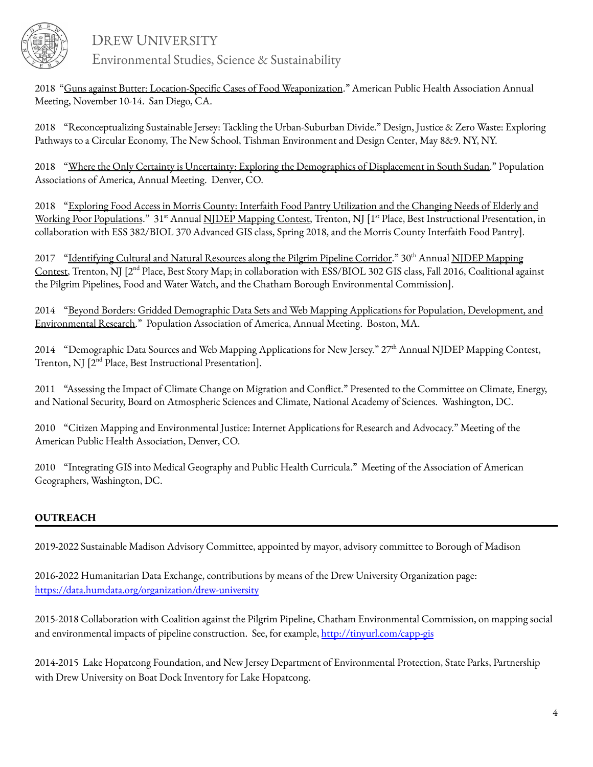

DREW UNIVERSITY

Environmental Studies, Science & Sustainability

2018 "Guns against Butter: [Location-Specific](https://apha.confex.com/apha/2018/meetingapp.cgi/Paper/409614) Cases of Food Weaponization." American Public Health Association Annual Meeting, November 10-14. San Diego, CA.

2018 "Reconceptualizing Sustainable Jersey: Tackling the Urban-Suburban Divide." Design, Justice & Zero Waste: Exploring Pathways to a Circular Economy, The New School, Tishman Environment and Design Center, May 8&9. NY, NY.

2018 "Where the Only Certainty is Uncertainty: Exploring the [Demographics](https://paa.confex.com/paa/2018/meetingapp.cgi/Paper/23160) of Displacement in South Sudan." Population Associations of America, Annual Meeting. Denver, CO.

2018 "Exploring Food Access in Morris County: Interfaith Food Pantry [Utilization](https://drive.google.com/file/d/1tWNcFjs6TXTiMCiLP_IZliuXjxRRC1Nd/view?usp=sharing) and the Changing Needs of Elderly and Working Poor [Populations](https://drive.google.com/file/d/1tWNcFjs6TXTiMCiLP_IZliuXjxRRC1Nd/view?usp=sharing)." 31<sup>st</sup> Annual NJDEP [Mapping](http://www.nj.gov/dep/gis/mapcon31.html) Contest, Trenton, NJ [1<sup>st</sup> Place, Best Instructional Presentation, in collaboration with ESS 382/BIOL 370 Advanced GIS class, Spring 2018, and the Morris County Interfaith Food Pantry].

2017 ["Identifying](http://www.arcgis.com/apps/MapSeries/index.html?appid=af162ec18761444b929957b8c82ab903) Cultural and Natural Resources along the Pilgrim Pipeline Corridor." 30th Annual NJDEP [Mapping](http://www.state.nj.us/dep/gis/mapcon30.html) [Contest,](http://www.state.nj.us/dep/gis/mapcon30.html) Trenton, NJ [2<sup>nd</sup> Place, Best Story Map; in collaboration with ESS/BIOL 302 GIS class, Fall 2016, Coalitional against the Pilgrim Pipelines, Food and Water Watch, and the Chatham Borough Environmental Commission].

2014 "Beyond Borders: Gridded Demographic Data Sets and Web Mapping Applications for Population, [Development,](http://paa2014.princeton.edu/abstracts/141908) and [Environmental](http://paa2014.princeton.edu/abstracts/141908) Research." Population Association of America, Annual Meeting. Boston, MA.

2014 "Demographic Data Sources and Web Mapping Applications for New Jersey." 27<sup>th</sup> Annual NJDEP Mapping Contest, Trenton, NJ [2<sup>nd</sup> Place, Best Instructional Presentation].

2011 "Assessing the Impact of Climate Change on Migration and Conflict." Presented to the Committee on Climate, Energy, and National Security, Board on Atmospheric Sciences and Climate, National Academy of Sciences. Washington, DC.

2010 "Citizen Mapping and Environmental Justice: Internet Applications for Research and Advocacy." Meeting of the American Public Health Association, Denver, CO.

2010 "Integrating GIS into Medical Geography and Public Health Curricula." Meeting of the Association of American Geographers, Washington, DC.

## **OUTREACH**

2019-2022 Sustainable Madison Advisory Committee, appointed by mayor, advisory committee to Borough of Madison

2016-2022 Humanitarian Data Exchange, contributions by means of the Drew University Organization page: <https://data.humdata.org/organization/drew-university>

2015-2018 Collaboration with Coalition against the Pilgrim Pipeline, Chatham Environmental Commission, on mapping social and environmental impacts of pipeline construction. See, for example, <http://tinyurl.com/capp-gis>

2014-2015 Lake Hopatcong Foundation, and New Jersey Department of Environmental Protection, State Parks, Partnership with Drew University on Boat Dock Inventory for Lake Hopatcong.